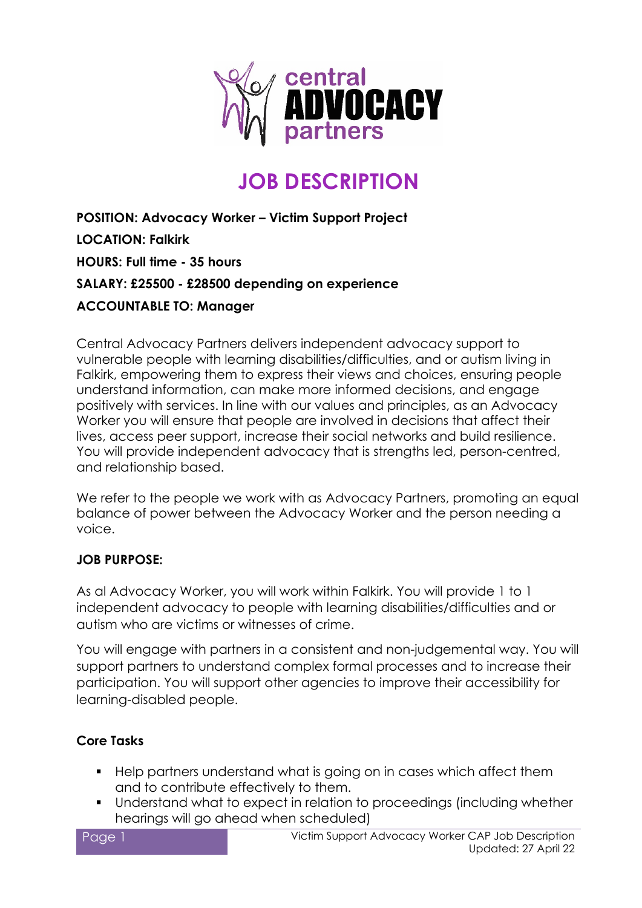

# **JOB DESCRIPTION**

**POSITION: Advocacy Worker – Victim Support Project LOCATION: Falkirk HOURS: Full time - 35 hours SALARY: £25500 - £28500 depending on experience ACCOUNTABLE TO: Manager**

Central Advocacy Partners delivers independent advocacy support to vulnerable people with learning disabilities/difficulties, and or autism living in Falkirk, empowering them to express their views and choices, ensuring people understand information, can make more informed decisions, and engage positively with services. In line with our values and principles, as an Advocacy Worker you will ensure that people are involved in decisions that affect their lives, access peer support, increase their social networks and build resilience. You will provide independent advocacy that is strengths led, person-centred, and relationship based.

We refer to the people we work with as Advocacy Partners, promoting an equal balance of power between the Advocacy Worker and the person needing a voice.

#### **JOB PURPOSE:**

As al Advocacy Worker, you will work within Falkirk. You will provide 1 to 1 independent advocacy to people with learning disabilities/difficulties and or autism who are victims or witnesses of crime.

You will engage with partners in a consistent and non-judgemental way. You will support partners to understand complex formal processes and to increase their participation. You will support other agencies to improve their accessibility for learning-disabled people.

#### **Core Tasks**

- **Help partners understand what is going on in cases which affect them** and to contribute effectively to them.
- Understand what to expect in relation to proceedings (including whether hearings will go ahead when scheduled)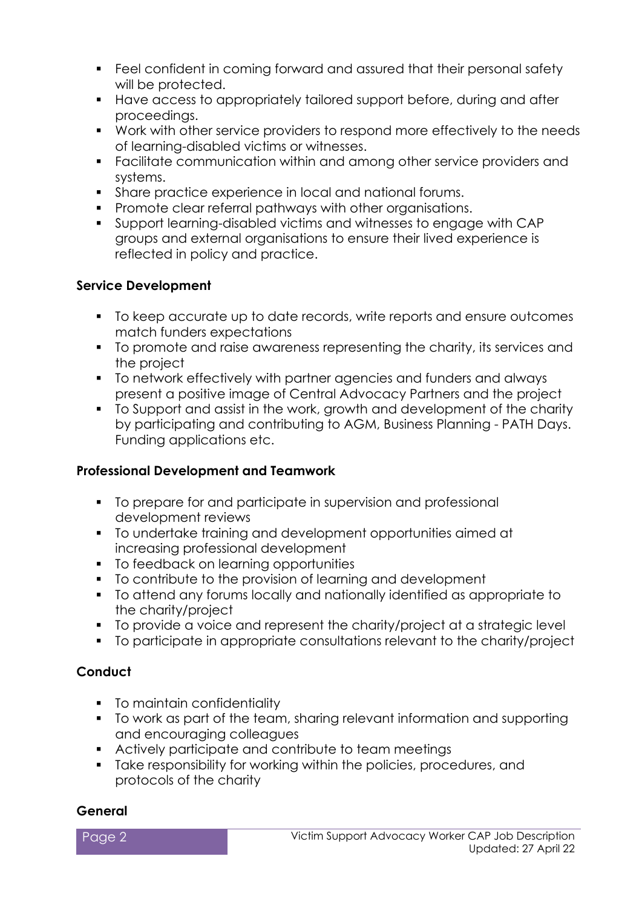- Feel confident in coming forward and assured that their personal safety will be protected.
- Have access to appropriately tailored support before, during and after proceedings.
- Work with other service providers to respond more effectively to the needs of learning-disabled victims or witnesses.
- Facilitate communication within and among other service providers and systems.
- Share practice experience in local and national forums.
- **Promote clear referral pathways with other organisations.**
- Support learning-disabled victims and witnesses to engage with CAP groups and external organisations to ensure their lived experience is reflected in policy and practice.

#### **Service Development**

- $\blacksquare$  To keep accurate up to date records, write reports and ensure outcomes match funders expectations
- To promote and raise awareness representing the charity, its services and the project
- To network effectively with partner agencies and funders and always present a positive image of Central Advocacy Partners and the project
- To Support and assist in the work, growth and development of the charity by participating and contributing to AGM, Business Planning - PATH Days. Funding applications etc.

#### **Professional Development and Teamwork**

- $\blacksquare$  To prepare for and participate in supervision and professional development reviews
- To undertake training and development opportunities aimed at increasing professional development
- **To feedback on learning opportunities**
- To contribute to the provision of learning and development
- To attend any forums locally and nationally identified as appropriate to the charity/project
- To provide a voice and represent the charity/project at a strategic level
- To participate in appropriate consultations relevant to the charity/project

### **Conduct**

- To maintain confidentiality
- To work as part of the team, sharing relevant information and supporting and encouraging colleagues
- Actively participate and contribute to team meetings
- Take responsibility for working within the policies, procedures, and protocols of the charity

#### **General**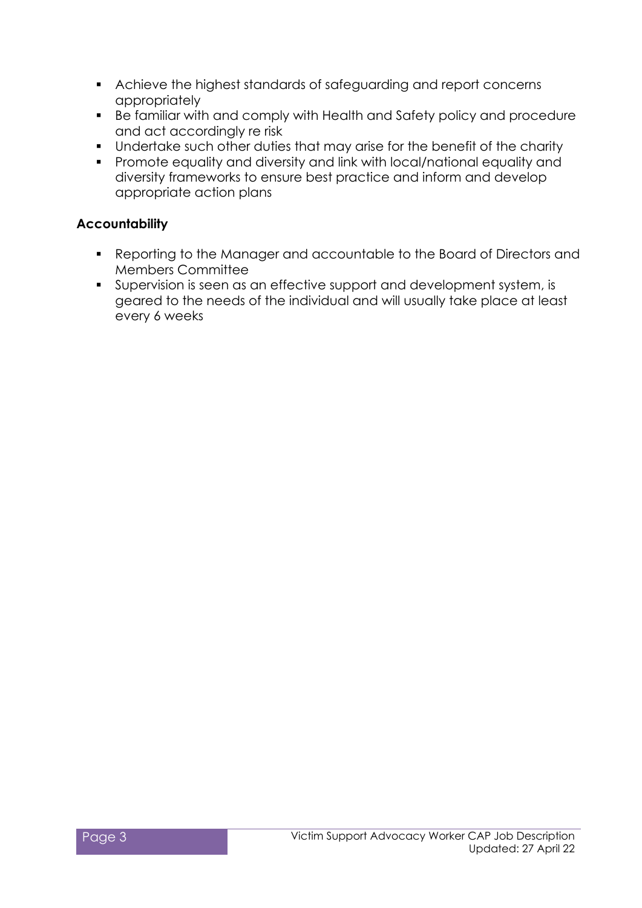- Achieve the highest standards of safeguarding and report concerns appropriately
- Be familiar with and comply with Health and Safety policy and procedure and act accordingly re risk
- Undertake such other duties that may arise for the benefit of the charity
- Promote equality and diversity and link with local/national equality and diversity frameworks to ensure best practice and inform and develop appropriate action plans

#### **Accountability**

- Reporting to the Manager and accountable to the Board of Directors and Members Committee
- Supervision is seen as an effective support and development system, is geared to the needs of the individual and will usually take place at least every 6 weeks